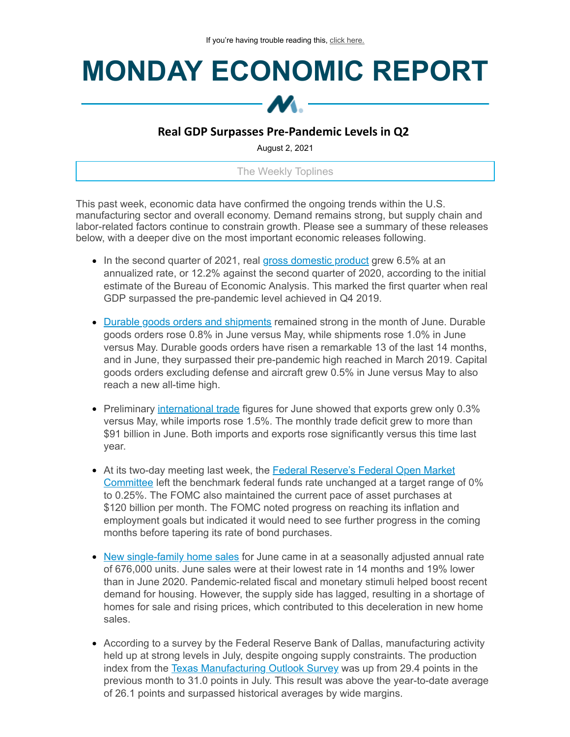## **MONDAY ECONOMIC REPORT**



## **Real GDP Surpasses Pre-Pandemic Levels in Q2**

August 2, 2021

The Weekly Toplines

This past week, economic data have confirmed the ongoing trends within the U.S. manufacturing sector and overall economy. Demand remains strong, but supply chain and labor-related factors continue to constrain growth. Please see a summary of these releases below, with a deeper dive on the most important economic releases following.

- In the second quarter of 2021, real gross [domestic](https://click.email.nam.org/?qs=2381aaaf9d7456a8dacfcd82d288bb5b7b59ce9740926e9c8e03a7edc1d311768e6a226b51fd46a8604816003f72b47924f985dc810c8ed1) product grew 6.5% at an annualized rate, or 12.2% against the second quarter of 2020, according to the initial estimate of the Bureau of Economic Analysis. This marked the first quarter when real GDP surpassed the pre-pandemic level achieved in Q4 2019.
- Durable goods orders and [shipments](https://click.email.nam.org/?qs=2381aaaf9d7456a8c28af00a9bf9c2a99239a5e2b1f8a5508c2699230e91c43491ef0732829de6a6dd3adb2bb3efc9fef3ef6e0e939033df) remained strong in the month of June. Durable goods orders rose 0.8% in June versus May, while shipments rose 1.0% in June versus May. Durable goods orders have risen a remarkable 13 of the last 14 months, and in June, they surpassed their pre-pandemic high reached in March 2019. Capital goods orders excluding defense and aircraft grew 0.5% in June versus May to also reach a new all-time high.
- Preliminary *[international](https://click.email.nam.org/?qs=2381aaaf9d7456a88cb3988c04d16a18eddfc51400847129185628a884859b39ec8c48f545345302877dc9868ea63908df46b34df1d781ec) trade* figures for June showed that exports grew only 0.3% versus May, while imports rose 1.5%. The monthly trade deficit grew to more than \$91 billion in June. Both imports and exports rose significantly versus this time last year.
- At its two-day meeting last week, the **Federal Reserve's Federal Open Market** Committee left the benchmark federal funds rate [unchanged](https://click.email.nam.org/?qs=2381aaaf9d7456a84a1809b307d6753583d61f768aebe6e882d1a8412ed854d20ea38208ded710cadec098647be59a3dce809f554aef1db7) at a target range of 0% to 0.25%. The FOMC also maintained the current pace of asset purchases at \$120 billion per month. The FOMC noted progress on reaching its inflation and employment goals but indicated it would need to see further progress in the coming months before tapering its rate of bond purchases.
- New [single-family](https://click.email.nam.org/?qs=2381aaaf9d7456a8e7970eaf2d828261990cf307bb84c1f176d26cc50f9bd5d9c7202a1171292ad8db1e031728f3fc58d20792638a6a80dd) home sales for June came in at a seasonally adjusted annual rate of 676,000 units. June sales were at their lowest rate in 14 months and 19% lower than in June 2020. Pandemic-related fiscal and monetary stimuli helped boost recent demand for housing. However, the supply side has lagged, resulting in a shortage of homes for sale and rising prices, which contributed to this deceleration in new home sales.
- According to a survey by the Federal Reserve Bank of Dallas, manufacturing activity held up at strong levels in July, despite ongoing supply constraints. The production index from the Texas [Manufacturing](https://click.email.nam.org/?qs=2381aaaf9d7456a800ac3a558c888473fdfa07ad40eb405ff0066f0377425a77a69b5ea97531dc9baf617c357be7335933883a1544dae6ce) Outlook Survey was up from 29.4 points in the previous month to 31.0 points in July. This result was above the year-to-date average of 26.1 points and surpassed historical averages by wide margins.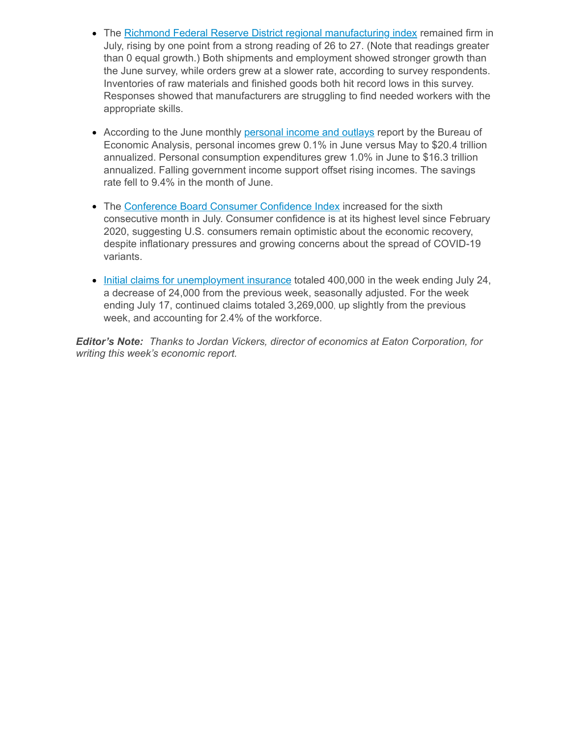- The Richmond Federal Reserve District regional [manufacturing](https://click.email.nam.org/?qs=2381aaaf9d7456a8c4fa5a74b7bf85b876530c6462235e16bdb002faa5788e385e48875d9c694a142b29d8ea7ea7107e71697a03eb1ee3a7) index remained firm in July, rising by one point from a strong reading of 26 to 27. (Note that readings greater than 0 equal growth.) Both shipments and employment showed stronger growth than the June survey, while orders grew at a slower rate, according to survey respondents. Inventories of raw materials and finished goods both hit record lows in this survey. Responses showed that manufacturers are struggling to find needed workers with the appropriate skills.
- According to the June monthly [personal](https://click.email.nam.org/?qs=2381aaaf9d7456a8ee20ac22351a1d43e09677a227f14873453afee09832213eb8e49faf31ee47bc86ac248d4dff07cc73217f77ed8a6cc2) income and outlays report by the Bureau of Economic Analysis, personal incomes grew 0.1% in June versus May to \$20.4 trillion annualized. Personal consumption expenditures grew 1.0% in June to \$16.3 trillion annualized. Falling government income support offset rising incomes. The savings rate fell to 9.4% in the month of June.
- The [Conference](https://click.email.nam.org/?qs=2381aaaf9d7456a83c9c43303eee77515cd1f5038402ba0e4854acdc51b05628bdb979c971dbb60fe587f0a1c01117d6dedd9e10a82b549a) Board Consumer Confidence Index increased for the sixth consecutive month in July. Consumer confidence is at its highest level since February 2020, suggesting U.S. consumers remain optimistic about the economic recovery, despite inflationary pressures and growing concerns about the spread of COVID-19 variants.
- Initial claims for [unemployment](https://click.email.nam.org/?qs=2381aaaf9d7456a832dcaafa4afcdf658dd97793a34be87ddee5ef3083facb2d8530c4fd97144c4b5cef88853bd894f502f8a7c95b3444eb) insurance totaled 400,000 in the week ending July 24, a decrease of 24,000 from the previous week, seasonally adjusted. For the week ending July 17, continued claims totaled 3,269,000, up slightly from the previous week, and accounting for 2.4% of the workforce.

*Editor's Note: Thanks to Jordan Vickers, director of economics at Eaton Corporation, for writing this week's economic report.*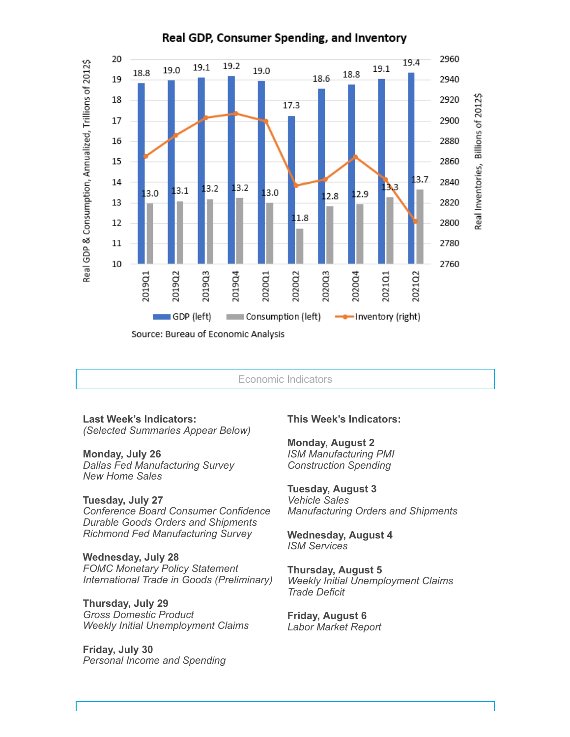

## Real GDP, Consumer Spending, and Inventory

Economic Indicators

**Last Week's Indicators:** *(Selected Summaries Appear Below)*

**Monday, July 26** *Dallas Fed Manufacturing Survey New Home Sales*

**Tuesday, July 27**

*Conference Board Consumer Confidence Durable Goods Orders and Shipments Richmond Fed Manufacturing Survey*

**Wednesday, July 28**

*FOMC Monetary Policy Statement International Trade in Goods (Preliminary)*

**Thursday, July 29** *Gross Domestic Product Weekly Initial Unemployment Claims*

**Friday, July 30** *Personal Income and Spending*

## **This Week's Indicators:**

**Monday, August 2** *ISM Manufacturing PMI Construction Spending*

**Tuesday, August 3** *Vehicle Sales Manufacturing Orders and Shipments*

**Wednesday, August 4** *ISM Services*

**Thursday, August 5** *Weekly Initial Unemployment Claims Trade Deficit*

**Friday, August 6** *Labor Market Report*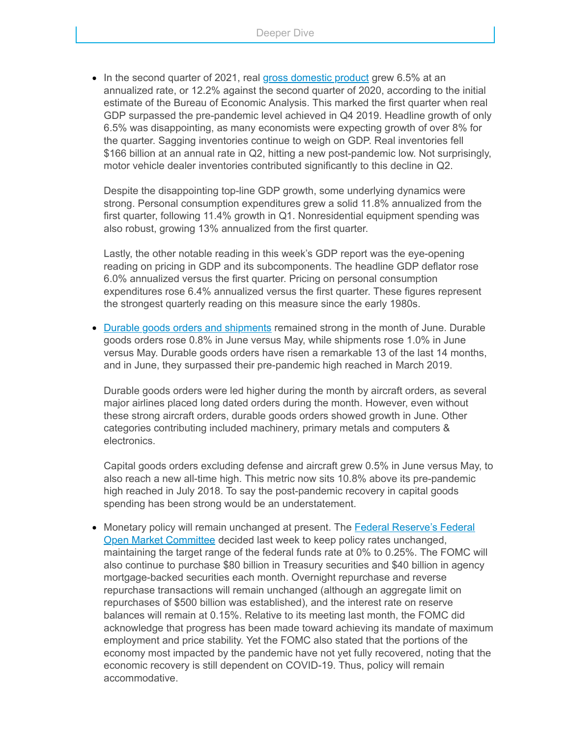• In the second quarter of 2021, real gross [domestic](https://click.email.nam.org/?qs=2381aaaf9d7456a8dacfcd82d288bb5b7b59ce9740926e9c8e03a7edc1d311768e6a226b51fd46a8604816003f72b47924f985dc810c8ed1) product grew 6.5% at an annualized rate, or 12.2% against the second quarter of 2020, according to the initial estimate of the Bureau of Economic Analysis. This marked the first quarter when real GDP surpassed the pre-pandemic level achieved in Q4 2019. Headline growth of only 6.5% was disappointing, as many economists were expecting growth of over 8% for the quarter. Sagging inventories continue to weigh on GDP. Real inventories fell \$166 billion at an annual rate in Q2, hitting a new post-pandemic low. Not surprisingly, motor vehicle dealer inventories contributed significantly to this decline in Q2.

Despite the disappointing top-line GDP growth, some underlying dynamics were strong. Personal consumption expenditures grew a solid 11.8% annualized from the first quarter, following 11.4% growth in Q1. Nonresidential equipment spending was also robust, growing 13% annualized from the first quarter.

Lastly, the other notable reading in this week's GDP report was the eye-opening reading on pricing in GDP and its subcomponents. The headline GDP deflator rose 6.0% annualized versus the first quarter. Pricing on personal consumption expenditures rose 6.4% annualized versus the first quarter. These figures represent the strongest quarterly reading on this measure since the early 1980s.

• Durable goods orders and [shipments](https://click.email.nam.org/?qs=2381aaaf9d7456a8c28af00a9bf9c2a99239a5e2b1f8a5508c2699230e91c43491ef0732829de6a6dd3adb2bb3efc9fef3ef6e0e939033df) remained strong in the month of June. Durable goods orders rose 0.8% in June versus May, while shipments rose 1.0% in June versus May. Durable goods orders have risen a remarkable 13 of the last 14 months, and in June, they surpassed their pre-pandemic high reached in March 2019.

Durable goods orders were led higher during the month by aircraft orders, as several major airlines placed long dated orders during the month. However, even without these strong aircraft orders, durable goods orders showed growth in June. Other categories contributing included machinery, primary metals and computers & electronics.

Capital goods orders excluding defense and aircraft grew 0.5% in June versus May, to also reach a new all-time high. This metric now sits 10.8% above its pre-pandemic high reached in July 2018. To say the post-pandemic recovery in capital goods spending has been strong would be an understatement.

• Monetary policy will remain unchanged at present. The **Federal Reserve's Federal** Open Market Committee decided last week to keep policy rates [unchanged,](https://click.email.nam.org/?qs=2381aaaf9d7456a84a1809b307d6753583d61f768aebe6e882d1a8412ed854d20ea38208ded710cadec098647be59a3dce809f554aef1db7) maintaining the target range of the federal funds rate at 0% to 0.25%. The FOMC will also continue to purchase \$80 billion in Treasury securities and \$40 billion in agency mortgage-backed securities each month. Overnight repurchase and reverse repurchase transactions will remain unchanged (although an aggregate limit on repurchases of \$500 billion was established), and the interest rate on reserve balances will remain at 0.15%. Relative to its meeting last month, the FOMC did acknowledge that progress has been made toward achieving its mandate of maximum employment and price stability. Yet the FOMC also stated that the portions of the economy most impacted by the pandemic have not yet fully recovered, noting that the economic recovery is still dependent on COVID-19. Thus, policy will remain accommodative.